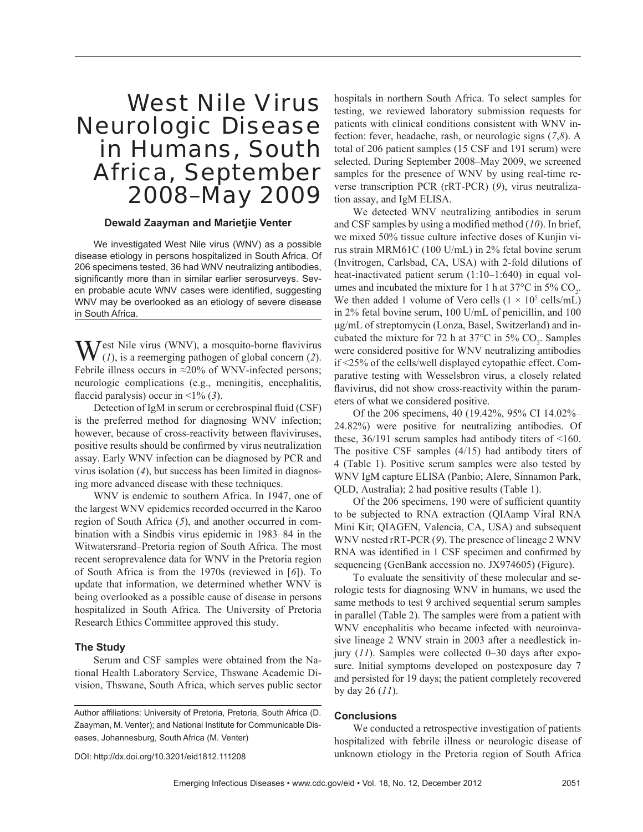# West Nile Virus Neurologic Disease in Humans, South Africa, September 2008–May 2009

## **Dewald Zaayman and Marietjie Venter**

We investigated West Nile virus (WNV) as a possible disease etiology in persons hospitalized in South Africa. Of 206 specimens tested, 36 had WNV neutralizing antibodies, significantly more than in similar earlier serosurveys. Seven probable acute WNV cases were identified, suggesting WNV may be overlooked as an etiology of severe disease in South Africa.

West Nile virus (WNV), a mosquito-borne flavivirus (*1*), is a reemerging pathogen of global concern (*2*). Febrile illness occurs in  $\approx$ 20% of WNV-infected persons; neurologic complications (e.g., meningitis, encephalitis, flaccid paralysis) occur in  $\leq 1\%$  (3).

Detection of IgM in serum or cerebrospinal fluid (CSF) is the preferred method for diagnosing WNV infection; however, because of cross-reactivity between flaviviruses, positive results should be confirmed by virus neutralization assay. Early WNV infection can be diagnosed by PCR and virus isolation (*4*), but success has been limited in diagnosing more advanced disease with these techniques.

WNV is endemic to southern Africa. In 1947, one of the largest WNV epidemics recorded occurred in the Karoo region of South Africa (*5*), and another occurred in combination with a Sindbis virus epidemic in 1983–84 in the Witwatersrand–Pretoria region of South Africa. The most recent seroprevalence data for WNV in the Pretoria region of South Africa is from the 1970s (reviewed in [*6*]). To update that information, we determined whether WNV is being overlooked as a possible cause of disease in persons hospitalized in South Africa. The University of Pretoria Research Ethics Committee approved this study.

### **The Study**

Serum and CSF samples were obtained from the National Health Laboratory Service, Thswane Academic Division, Thswane, South Africa, which serves public sector

DOI: http://dx.doi.org/10.3201/eid1812.111208

hospitals in northern South Africa. To select samples for testing, we reviewed laboratory submission requests for patients with clinical conditions consistent with WNV infection: fever, headache, rash, or neurologic signs (*7*,*8*). A total of 206 patient samples (15 CSF and 191 serum) were selected. During September 2008–May 2009, we screened samples for the presence of WNV by using real-time reverse transcription PCR (rRT-PCR) (*9*), virus neutralization assay, and IgM ELISA.

We detected WNV neutralizing antibodies in serum and CSF samples by using a modified method  $(10)$ . In brief, we mixed 50% tissue culture infective doses of Kunjin virus strain MRM61C (100 U/mL) in 2% fetal bovine serum (Invitrogen, Carlsbad, CA, USA) with 2-fold dilutions of heat-inactivated patient serum  $(1:10-1:640)$  in equal volumes and incubated the mixture for 1 h at  $37^{\circ}$ C in  $5\%$  CO<sub>2</sub>. We then added 1 volume of Vero cells  $(1 \times 10^5 \text{ cells/mL})$ in 2% fetal bovine serum, 100 U/mL of penicillin, and 100 μg/mL of streptomycin (Lonza, Basel, Switzerland) and incubated the mixture for 72 h at  $37^{\circ}$ C in  $5\%$  CO<sub>2</sub>. Samples were considered positive for WNV neutralizing antibodies if <25% of the cells/well displayed cytopathic effect. Comparative testing with Wesselsbron virus, a closely related flavivirus, did not show cross-reactivity within the parameters of what we considered positive.

Of the 206 specimens, 40 (19.42%, 95% CI 14.02%– 24.82%) were positive for neutralizing antibodies. Of these, 36/191 serum samples had antibody titers of <160. The positive CSF samples (4/15) had antibody titers of 4 (Table 1). Positive serum samples were also tested by WNV IgM capture ELISA (Panbio; Alere, Sinnamon Park, QLD, Australia); 2 had positive results (Table 1).

Of the 206 specimens, 190 were of sufficient quantity to be subjected to RNA extraction (QIAamp Viral RNA Mini Kit; QIAGEN, Valencia, CA, USA) and subsequent WNV nested rRT-PCR (*9*). The presence of lineage 2 WNV RNA was identified in 1 CSF specimen and confirmed by sequencing (GenBank accession no. JX974605) (Figure).

To evaluate the sensitivity of these molecular and serologic tests for diagnosing WNV in humans, we used the same methods to test 9 archived sequential serum samples in parallel (Table 2). The samples were from a patient with WNV encephalitis who became infected with neuroinvasive lineage 2 WNV strain in 2003 after a needlestick injury (*11*). Samples were collected 0–30 days after exposure. Initial symptoms developed on postexposure day 7 and persisted for 19 days; the patient completely recovered by day 26 (*11*).

#### **Conclusions**

We conducted a retrospective investigation of patients hospitalized with febrile illness or neurologic disease of unknown etiology in the Pretoria region of South Africa

Author affiliations: University of Pretoria, Pretoria, South Africa (D. Zaayman, M. Venter); and National Institute for Communicable Diseases, Johannesburg, South Africa (M. Venter)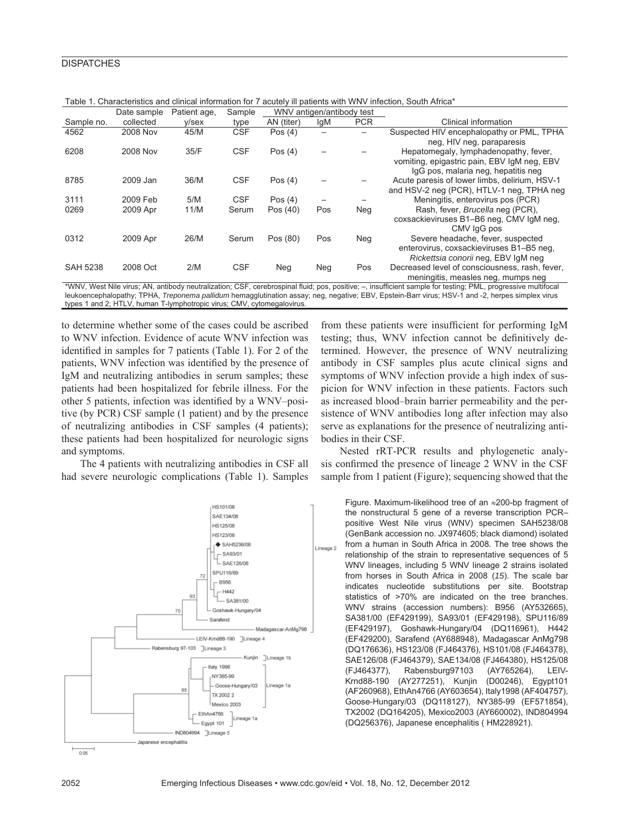### **DISPATCHES**

|                 | Date sample | Patient age, | Sample     | WNV antigen/antibody test |     |            |                                                |  |
|-----------------|-------------|--------------|------------|---------------------------|-----|------------|------------------------------------------------|--|
| Sample no.      | collected   | $V$ /sex     | type       | AN (titer)                | lgM | <b>PCR</b> | Clinical information                           |  |
| 4562            | 2008 Nov    | 45/M         | <b>CSF</b> | Pos $(4)$                 |     |            | Suspected HIV encephalopathy or PML, TPHA      |  |
|                 |             |              |            |                           |     |            | neg, HIV neg, paraparesis                      |  |
| 6208            | 2008 Nov    | 35/F         | <b>CSF</b> | Pos $(4)$                 |     |            | Hepatomegaly, lymphadenopathy, fever,          |  |
|                 |             |              |            |                           |     |            | vomiting, epigastric pain, EBV IgM neg, EBV    |  |
|                 |             |              |            |                           |     |            | IgG pos, malaria neg, hepatitis neg            |  |
| 8785            | 2009 Jan    | 36/M         | <b>CSF</b> | Pos $(4)$                 |     |            | Acute paresis of lower limbs, delirium, HSV-1  |  |
|                 |             |              |            |                           |     |            | and HSV-2 neg (PCR), HTLV-1 neg, TPHA neg      |  |
| 3111            | 2009 Feb    | 5/M          | <b>CSF</b> | Pos $(4)$                 |     |            | Meningitis, enterovirus pos (PCR)              |  |
| 0269            | 2009 Apr    | 11/M         | Serum      | Pos (40)                  | Pos | Neg        | Rash, fever, <i>Brucella</i> neg (PCR),        |  |
|                 |             |              |            |                           |     |            | coxsackieviruses B1-B6 neg, CMV IgM neg,       |  |
|                 |             |              |            |                           |     |            | CMV IgG pos                                    |  |
| 0312            | 2009 Apr    | 26/M         | Serum      | Pos (80)                  | Pos | Neg        | Severe headache, fever, suspected              |  |
|                 |             |              |            |                           |     |            | enterovirus, coxsackieviruses B1-B5 neg.       |  |
|                 |             |              |            |                           |     |            | Rickettsia conorii neg, EBV IgM neg            |  |
| <b>SAH 5238</b> | 2008 Oct    | 2/M          | <b>CSF</b> | Neg                       | Neg | Pos        | Decreased level of consciousness, rash, fever, |  |
|                 |             |              |            |                           |     |            | meningitis, measles neg, mumps neg             |  |

Table 1. Characteristics and clinical information for 7 acutely ill patients with WNV infection, South Africa\*

\*WNV, West Nile virus; AN, antibody neutralization; CSF, cerebrospinal fluid; pos, positive; –, insufficient sample for testing; PML, progressive multifocal leukoencephalopathy; TPHA, *Treponema pallidum* hemagglutination assay; neg, negative; EBV, Epstein-Barr virus; HSV-1 and -2, herpes simplex virus types 1 and 2; HTLV, human T-lymphotropic virus; CMV, cytomegalovirus.

to determine whether some of the cases could be ascribed to WNV infection. Evidence of acute WNV infection was identified in samples for 7 patients (Table 1). For 2 of the patients, WNV infection was identified by the presence of IgM and neutralizing antibodies in serum samples; these patients had been hospitalized for febrile illness. For the other 5 patients, infection was identified by a WNV–positive (by PCR) CSF sample (1 patient) and by the presence of neutralizing antibodies in CSF samples (4 patients); these patients had been hospitalized for neurologic signs and symptoms.

The 4 patients with neutralizing antibodies in CSF all had severe neurologic complications (Table 1). Samples



from these patients were insufficient for performing IgM testing; thus, WNV infection cannot be definitively determined. However, the presence of WNV neutralizing antibody in CSF samples plus acute clinical signs and symptoms of WNV infection provide a high index of suspicion for WNV infection in these patients. Factors such as increased blood–brain barrier permeability and the persistence of WNV antibodies long after infection may also serve as explanations for the presence of neutralizing antibodies in their CSF.

Nested rRT-PCR results and phylogenetic analysis confirmed the presence of lineage 2 WNV in the CSF sample from 1 patient (Figure); sequencing showed that the

Figure. Maximum-likelihood tree of an ≈200-bp fragment of the nonstructural 5 gene of a reverse transcription PCR– positive West Nile virus (WNV) specimen SAH5238/08 (GenBank accession no. JX974605; black diamond) isolated from a human in South Africa in 2008. The tree shows the relationship of the strain to representative sequences of 5 WNV lineages, including 5 WNV lineage 2 strains isolated from horses in South Africa in 2008 (*15*). The scale bar indicates nucleotide substitutions per site. Bootstrap statistics of >70% are indicated on the tree branches. WNV strains (accession numbers): B956 (AY532665), SA381/00 (EF429199), SA93/01 (EF429198), SPU116/89 (EF429197), Goshawk-Hungary/04 (DQ116961), H442 (EF429200), Sarafend (AY688948), Madagascar AnMg798 (DQ176636), HS123/08 (FJ464376), HS101/08 (FJ464378), SAE126/08 (FJ464379), SAE134/08 (FJ464380), HS125/08 (FJ464377), Rabensburg97103 (AY765264), LEIV-Krnd88-190 (AY277251), Kunjin (D00246), Egypt101 (AF260968), EthAn4766 (AY603654), Italy1998 (AF404757), Goose-Hungary/03 (DQ118127), NY385-99 (EF571854), TX2002 (DQ164205), Mexico2003 (AY660002), IND804994 (DQ256376), Japanese encephalitis ( HM228921).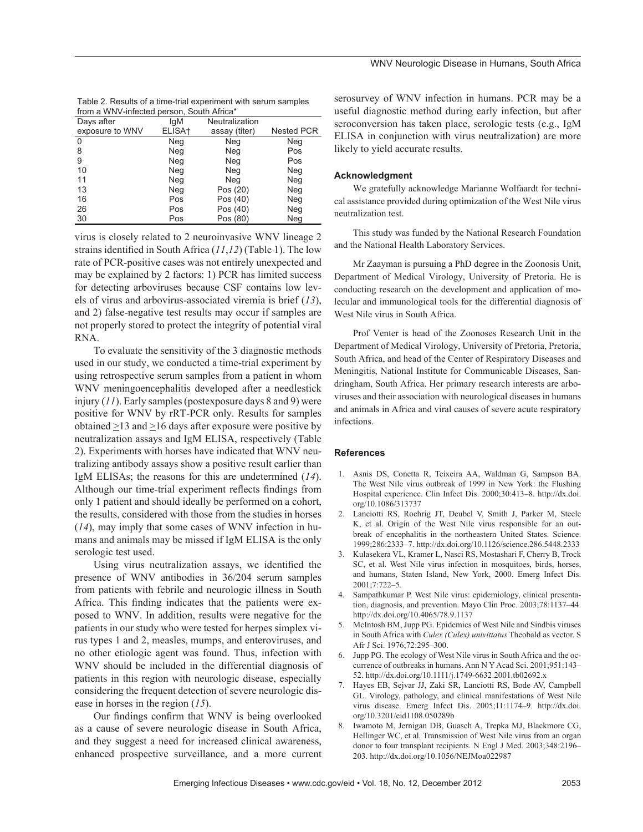|                                           | Table 2. Results of a time-trial experiment with serum samples |
|-------------------------------------------|----------------------------------------------------------------|
| from a WNV-infected person, South Africa* |                                                                |

| Days after      | lgM                | Neutralization |                   |
|-----------------|--------------------|----------------|-------------------|
| exposure to WNV | ELISA <sup>+</sup> | assay (titer)  | <b>Nested PCR</b> |
| $\Omega$        | Neg                | Neg            | Neg               |
| 8               | Neg                | Neg            | Pos               |
| 9               | Neg                | Neg            | Pos               |
| 10              | Neg                | Neg            | Neg               |
| 11              | Neg                | Neg            | Neg               |
| 13              | Neg                | Pos (20)       | Neg               |
| 16              | Pos                | Pos (40)       | Neg               |
| 26              | Pos                | Pos (40)       | Neg               |
| 30              | Pos                | Pos (80)       | Neg               |

virus is closely related to 2 neuroinvasive WNV lineage 2 strains identified in South Africa (11,12) (Table 1). The low rate of PCR-positive cases was not entirely unexpected and may be explained by 2 factors: 1) PCR has limited success for detecting arboviruses because CSF contains low levels of virus and arbovirus-associated viremia is brief (*13*), and 2) false-negative test results may occur if samples are not properly stored to protect the integrity of potential viral RNA.

To evaluate the sensitivity of the 3 diagnostic methods used in our study, we conducted a time-trial experiment by using retrospective serum samples from a patient in whom WNV meningoencephalitis developed after a needlestick injury (*11*). Early samples (postexposure days 8 and 9) were positive for WNV by rRT-PCR only. Results for samples obtained  $\geq$ 13 and  $\geq$ 16 days after exposure were positive by neutralization assays and IgM ELISA, respectively (Table 2). Experiments with horses have indicated that WNV neutralizing antibody assays show a positive result earlier than IgM ELISAs; the reasons for this are undetermined (*14*). Although our time-trial experiment reflects findings from only 1 patient and should ideally be performed on a cohort, the results, considered with those from the studies in horses (*14*), may imply that some cases of WNV infection in humans and animals may be missed if IgM ELISA is the only serologic test used.

Using virus neutralization assays, we identified the presence of WNV antibodies in 36/204 serum samples from patients with febrile and neurologic illness in South Africa. This finding indicates that the patients were exposed to WNV. In addition, results were negative for the patients in our study who were tested for herpes simplex virus types 1 and 2, measles, mumps, and enteroviruses, and no other etiologic agent was found. Thus, infection with WNV should be included in the differential diagnosis of patients in this region with neurologic disease, especially considering the frequent detection of severe neurologic disease in horses in the region (*15*).

Our findings confirm that WNV is being overlooked as a cause of severe neurologic disease in South Africa, and they suggest a need for increased clinical awareness, enhanced prospective surveillance, and a more current serosurvey of WNV infection in humans. PCR may be a useful diagnostic method during early infection, but after seroconversion has taken place, serologic tests (e.g., IgM ELISA in conjunction with virus neutralization) are more likely to yield accurate results.

#### **Acknowledgment**

We gratefully acknowledge Marianne Wolfaardt for technical assistance provided during optimization of the West Nile virus neutralization test.

This study was funded by the National Research Foundation and the National Health Laboratory Services.

Mr Zaayman is pursuing a PhD degree in the Zoonosis Unit, Department of Medical Virology, University of Pretoria. He is conducting research on the development and application of molecular and immunological tools for the differential diagnosis of West Nile virus in South Africa.

Prof Venter is head of the Zoonoses Research Unit in the Department of Medical Virology, University of Pretoria, Pretoria, South Africa, and head of the Center of Respiratory Diseases and Meningitis, National Institute for Communicable Diseases, Sandringham, South Africa. Her primary research interests are arboviruses and their association with neurological diseases in humans and animals in Africa and viral causes of severe acute respiratory infections.

#### **References**

- 1. Asnis DS, Conetta R, Teixeira AA, Waldman G, Sampson BA. The West Nile virus outbreak of 1999 in New York: the Flushing Hospital experience. Clin Infect Dis. 2000;30:413–8. http://dx.doi. org/10.1086/313737
- 2. Lanciotti RS, Roehrig JT, Deubel V, Smith J, Parker M, Steele K, et al. Origin of the West Nile virus responsible for an outbreak of encephalitis in the northeastern United States. Science. 1999;286:2333–7. http://dx.doi.org/10.1126/science.286.5448.2333
- 3. Kulasekera VL, Kramer L, Nasci RS, Mostashari F, Cherry B, Trock SC, et al. West Nile virus infection in mosquitoes, birds, horses, and humans, Staten Island, New York, 2000. Emerg Infect Dis. 2001;7:722–5.
- 4. Sampathkumar P. West Nile virus: epidemiology, clinical presentation, diagnosis, and prevention. Mayo Clin Proc. 2003;78:1137–44. http://dx.doi.org/10.4065/78.9.1137
- 5. McIntosh BM, Jupp PG. Epidemics of West Nile and Sindbis viruses in South Africa with *Culex (Culex) univittatus* Theobald as vector. S Afr J Sci. 1976;72:295–300.
- 6. Jupp PG. The ecology of West Nile virus in South Africa and the occurrence of outbreaks in humans. Ann N Y Acad Sci. 2001;951:143– 52. http://dx.doi.org/10.1111/j.1749-6632.2001.tb02692.x
- 7. Hayes EB, Sejvar JJ, Zaki SR, Lanciotti RS, Bode AV, Campbell GL. Virology, pathology, and clinical manifestations of West Nile virus disease. Emerg Infect Dis. 2005;11:1174–9. http://dx.doi. org/10.3201/eid1108.050289b
- 8. Iwamoto M, Jernigan DB, Guasch A, Trepka MJ, Blackmore CG, Hellinger WC, et al. Transmission of West Nile virus from an organ donor to four transplant recipients. N Engl J Med. 2003;348:2196– 203. http://dx.doi.org/10.1056/NEJMoa022987